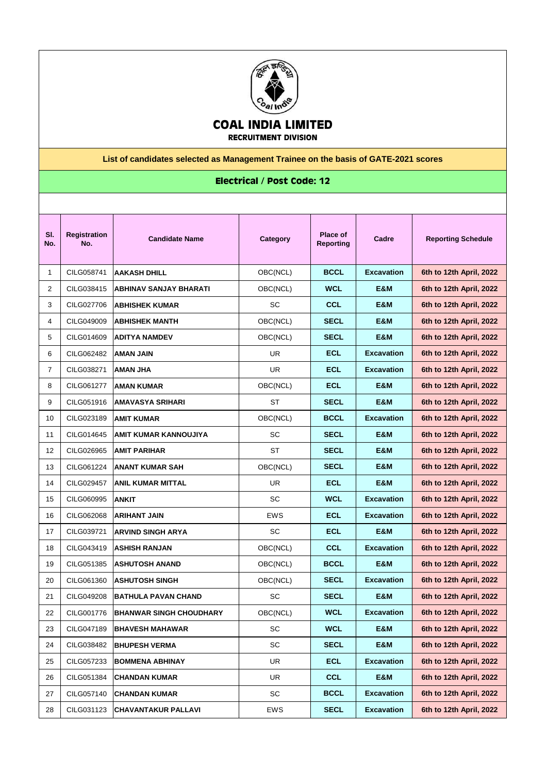

**List of candidates selected as Management Trainee on the basis of GATE-2021 scores**

## **Electrical / Post Code: 12**

| SI.<br>No.   | <b>Registration</b><br>No. | <b>Candidate Name</b>           | Category   | Place of<br><b>Reporting</b> | Cadre             | <b>Reporting Schedule</b> |
|--------------|----------------------------|---------------------------------|------------|------------------------------|-------------------|---------------------------|
| $\mathbf{1}$ | CILG058741                 | <b>AAKASH DHILL</b>             | OBC(NCL)   | <b>BCCL</b>                  | <b>Excavation</b> | 6th to 12th April, 2022   |
| 2            | CILG038415                 | ABHINAV SANJAY BHARATI          | OBC(NCL)   | <b>WCL</b>                   | E&M               | 6th to 12th April, 2022   |
| 3            | CILG027706                 | <b>ABHISHEK KUMAR</b>           | SC         | <b>CCL</b>                   | E&M               | 6th to 12th April, 2022   |
| 4            | CILG049009                 | <b>ABHISHEK MANTH</b>           | OBC(NCL)   | <b>SECL</b>                  | E&M               | 6th to 12th April, 2022   |
| 5            | CILG014609                 | <b>ADITYA NAMDEV</b>            | OBC(NCL)   | <b>SECL</b>                  | E&M               | 6th to 12th April, 2022   |
| 6            | CILG062482                 | IAMAN JAIN                      | UR.        | <b>ECL</b>                   | <b>Excavation</b> | 6th to 12th April, 2022   |
| 7            | CILG038271                 | <b>AMAN JHA</b>                 | <b>UR</b>  | <b>ECL</b>                   | <b>Excavation</b> | 6th to 12th April, 2022   |
| 8            | CILG061277                 | <b>AMAN KUMAR</b>               | OBC(NCL)   | <b>ECL</b>                   | E&M               | 6th to 12th April, 2022   |
| 9            | CILG051916                 | <b>AMAVASYA SRIHARI</b>         | ST         | <b>SECL</b>                  | E&M               | 6th to 12th April, 2022   |
| 10           | CILG023189                 | <b>AMIT KUMAR</b>               | OBC(NCL)   | <b>BCCL</b>                  | <b>Excavation</b> | 6th to 12th April, 2022   |
| 11           | CILG014645                 | AMIT KUMAR KANNOUJIYA           | SC         | <b>SECL</b>                  | E&M               | 6th to 12th April, 2022   |
| 12           | CILG026965                 | <b>AMIT PARIHAR</b>             | ST         | <b>SECL</b>                  | E&M               | 6th to 12th April, 2022   |
| 13           | CILG061224                 | <b>ANANT KUMAR SAH</b>          | OBC(NCL)   | <b>SECL</b>                  | E&M               | 6th to 12th April, 2022   |
| 14           | CILG029457                 | <b>ANIL KUMAR MITTAL</b>        | UR.        | <b>ECL</b>                   | E&M               | 6th to 12th April, 2022   |
| 15           | CILG060995                 | <b>ANKIT</b>                    | SC         | <b>WCL</b>                   | <b>Excavation</b> | 6th to 12th April, 2022   |
| 16           | CILG062068                 | <b>ARIHANT JAIN</b>             | <b>EWS</b> | <b>ECL</b>                   | <b>Excavation</b> | 6th to 12th April, 2022   |
| 17           | CILG039721                 | <b>ARVIND SINGH ARYA</b>        | <b>SC</b>  | <b>ECL</b>                   | E&M               | 6th to 12th April, 2022   |
| 18           | CILG043419                 | <b>ASHISH RANJAN</b>            | OBC(NCL)   | CCL                          | <b>Excavation</b> | 6th to 12th April, 2022   |
| 19           | CILG051385                 | <b>ASHUTOSH ANAND</b>           | OBC(NCL)   | <b>BCCL</b>                  | E&M               | 6th to 12th April, 2022   |
| 20           | CILG061360                 | <b>ASHUTOSH SINGH</b>           | OBC(NCL)   | <b>SECL</b>                  | <b>Excavation</b> | 6th to 12th April, 2022   |
| 21           | CILG049208                 | IBATHULA PAVAN CHAND            | SC         | <b>SECL</b>                  | E&M               | 6th to 12th April, 2022   |
| 22           | CILG001776                 | <b>IBHANWAR SINGH CHOUDHARY</b> | OBC(NCL)   | <b>WCL</b>                   | <b>Excavation</b> | 6th to 12th April, 2022   |
| 23           | CILG047189                 | <b>BHAVESH MAHAWAR</b>          | SC         | <b>WCL</b>                   | E&M               | 6th to 12th April, 2022   |
| 24           | CILG038482                 | <b>BHUPESH VERMA</b>            | SC         | <b>SECL</b>                  | E&M               | 6th to 12th April, 2022   |
| 25           | CILG057233                 | <b>BOMMENA ABHINAY</b>          | UR.        | <b>ECL</b>                   | <b>Excavation</b> | 6th to 12th April, 2022   |
| 26           | CILG051384                 | <b>CHANDAN KUMAR</b>            | <b>UR</b>  | <b>CCL</b>                   | E&M               | 6th to 12th April, 2022   |
| 27           | CILG057140                 | <b>CHANDAN KUMAR</b>            | SC         | <b>BCCL</b>                  | <b>Excavation</b> | 6th to 12th April, 2022   |
| 28           | CILG031123                 | <b>CHAVANTAKUR PALLAVI</b>      | <b>EWS</b> | <b>SECL</b>                  | <b>Excavation</b> | 6th to 12th April, 2022   |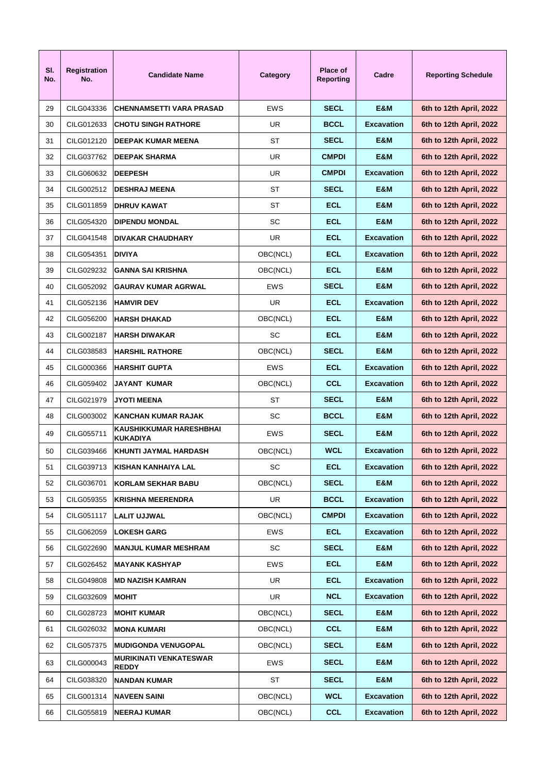| SI.<br>No. | <b>Registration</b><br>No. | <b>Candidate Name</b>                         | Category   | Place of<br><b>Reporting</b> | Cadre             | <b>Reporting Schedule</b> |
|------------|----------------------------|-----------------------------------------------|------------|------------------------------|-------------------|---------------------------|
| 29         | CILG043336                 | CHENNAMSETTI VARA PRASAD                      | <b>EWS</b> | <b>SECL</b>                  | E&M               | 6th to 12th April, 2022   |
| 30         | CILG012633                 | <b>CHOTU SINGH RATHORE</b>                    | UR.        | <b>BCCL</b>                  | <b>Excavation</b> | 6th to 12th April, 2022   |
| 31         | CILG012120                 | <b>DEEPAK KUMAR MEENA</b>                     | ST         | <b>SECL</b>                  | E&M               | 6th to 12th April, 2022   |
| 32         | CILG037762                 | <b>IDEEPAK SHARMA</b>                         | UR.        | <b>CMPDI</b>                 | E&M               | 6th to 12th April, 2022   |
| 33         | CILG060632                 | <b>DEEPESH</b>                                | UR.        | <b>CMPDI</b>                 | <b>Excavation</b> | 6th to 12th April, 2022   |
| 34         | CILG002512                 | <b>DESHRAJ MEENA</b>                          | ST         | <b>SECL</b>                  | E&M               | 6th to 12th April, 2022   |
| 35         | CILG011859                 | <b>DHRUV KAWAT</b>                            | ST         | <b>ECL</b>                   | <b>E&amp;M</b>    | 6th to 12th April, 2022   |
| 36         | CILG054320                 | <b>DIPENDU MONDAL</b>                         | SC         | <b>ECL</b>                   | E&M               | 6th to 12th April, 2022   |
| 37         | CILG041548                 | <b>DIVAKAR CHAUDHARY</b>                      | UR.        | <b>ECL</b>                   | <b>Excavation</b> | 6th to 12th April, 2022   |
| 38         | CILG054351                 | <b>DIVIYA</b>                                 | OBC(NCL)   | <b>ECL</b>                   | <b>Excavation</b> | 6th to 12th April, 2022   |
| 39         | CILG029232                 | <b>GANNA SAI KRISHNA</b>                      | OBC(NCL)   | <b>ECL</b>                   | E&M               | 6th to 12th April, 2022   |
| 40         | CILG052092                 | <b>GAURAV KUMAR AGRWAL</b>                    | EWS        | <b>SECL</b>                  | E&M               | 6th to 12th April, 2022   |
| 41         | CILG052136                 | <b>HAMVIR DEV</b>                             | UR.        | <b>ECL</b>                   | <b>Excavation</b> | 6th to 12th April, 2022   |
| 42         | CILG056200                 | <b>HARSH DHAKAD</b>                           | OBC(NCL)   | <b>ECL</b>                   | E&M               | 6th to 12th April, 2022   |
| 43         | CILG002187                 | <b>IHARSH DIWAKAR</b>                         | <b>SC</b>  | <b>ECL</b>                   | <b>E&amp;M</b>    | 6th to 12th April, 2022   |
| 44         | CILG038583                 | HARSHIL RATHORE                               | OBC(NCL)   | <b>SECL</b>                  | <b>E&amp;M</b>    | 6th to 12th April, 2022   |
| 45         | CILG000366                 | <b>IHARSHIT GUPTA</b>                         | <b>EWS</b> | <b>ECL</b>                   | <b>Excavation</b> | 6th to 12th April, 2022   |
| 46         | CILG059402                 | <b> JAYANT KUMAR</b>                          | OBC(NCL)   | <b>CCL</b>                   | <b>Excavation</b> | 6th to 12th April, 2022   |
| 47         | CILG021979                 | <b>JYOTI MEENA</b>                            | SТ         | <b>SECL</b>                  | E&M               | 6th to 12th April, 2022   |
| 48         | CILG003002                 | <b>KANCHAN KUMAR RAJAK</b>                    | SC         | <b>BCCL</b>                  | E&M               | 6th to 12th April, 2022   |
| 49         | CILG055711                 | KAUSHIKKUMAR HARESHBHAI<br><b>KUKADIYA</b>    | EWS        | <b>SECL</b>                  | E&M               | 6th to 12th April, 2022   |
| 50         | CILG039466                 | KHUNTI JAYMAL HARDASH                         | OBC(NCL)   | <b>WCL</b>                   | <b>Excavation</b> | 6th to 12th April, 2022   |
| 51         | CILG039713                 | KISHAN KANHAIYA LAL                           | SC         | <b>ECL</b>                   | <b>Excavation</b> | 6th to 12th April, 2022   |
| 52         | CILG036701                 | <b>KORLAM SEKHAR BABU</b>                     | OBC(NCL)   | <b>SECL</b>                  | E&M               | 6th to 12th April, 2022   |
| 53         | CILG059355                 | <b>KRISHNA MEERENDRA</b>                      | <b>UR</b>  | <b>BCCL</b>                  | <b>Excavation</b> | 6th to 12th April, 2022   |
| 54         | CILG051117                 | LALIT UJJWAL                                  | OBC(NCL)   | <b>CMPDI</b>                 | <b>Excavation</b> | 6th to 12th April, 2022   |
| 55         | CILG062059                 | <b>LOKESH GARG</b>                            | <b>EWS</b> | <b>ECL</b>                   | <b>Excavation</b> | 6th to 12th April, 2022   |
| 56         | CILG022690                 | <b>MANJUL KUMAR MESHRAM</b>                   | SC         | <b>SECL</b>                  | E&M               | 6th to 12th April, 2022   |
| 57         | CILG026452                 | <b>MAYANK KASHYAP</b>                         | <b>EWS</b> | <b>ECL</b>                   | E&M               | 6th to 12th April, 2022   |
| 58         | CILG049808                 | <b>MD NAZISH KAMRAN</b>                       | UR         | <b>ECL</b>                   | <b>Excavation</b> | 6th to 12th April, 2022   |
| 59         | CILG032609                 | <b>MOHIT</b>                                  | <b>UR</b>  | <b>NCL</b>                   | <b>Excavation</b> | 6th to 12th April, 2022   |
| 60         | CILG028723                 | <b>MOHIT KUMAR</b>                            | OBC(NCL)   | <b>SECL</b>                  | E&M               | 6th to 12th April, 2022   |
| 61         | CILG026032                 | <b>MONA KUMARI</b>                            | OBC(NCL)   | <b>CCL</b>                   | E&M               | 6th to 12th April, 2022   |
| 62         | CILG057375                 | <b>MUDIGONDA VENUGOPAL</b>                    | OBC(NCL)   | <b>SECL</b>                  | E&M               | 6th to 12th April, 2022   |
| 63         | CILG000043                 | <b>MURIKINATI VENKATESWAR</b><br><b>REDDY</b> | EWS        | <b>SECL</b>                  | E&M               | 6th to 12th April, 2022   |
| 64         | CILG038320                 | <b>NANDAN KUMAR</b>                           | ST         | <b>SECL</b>                  | E&M               | 6th to 12th April, 2022   |
| 65         | CILG001314                 | <b>NAVEEN SAINI</b>                           | OBC(NCL)   | WCL                          | <b>Excavation</b> | 6th to 12th April, 2022   |
| 66         | CILG055819                 | <b>NEERAJ KUMAR</b>                           | OBC(NCL)   | <b>CCL</b>                   | <b>Excavation</b> | 6th to 12th April, 2022   |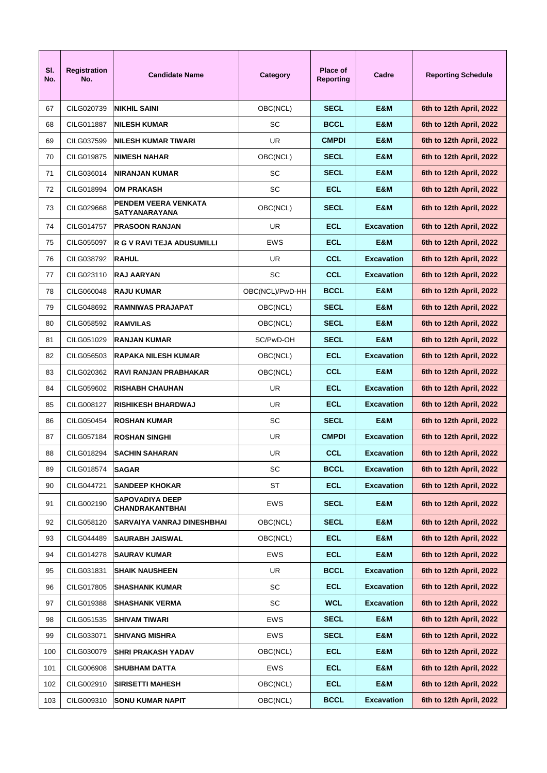| SI.<br>No. | <b>Registration</b><br>No. | <b>Candidate Name</b>                            | Category        | <b>Place of</b><br><b>Reporting</b> | Cadre             | <b>Reporting Schedule</b> |
|------------|----------------------------|--------------------------------------------------|-----------------|-------------------------------------|-------------------|---------------------------|
| 67         | CILG020739                 | <b>NIKHIL SAINI</b>                              | OBC(NCL)        | <b>SECL</b>                         | E&M               | 6th to 12th April, 2022   |
| 68         | CILG011887                 | <b>INILESH KUMAR</b>                             | SC              | <b>BCCL</b>                         | E&M               | 6th to 12th April, 2022   |
| 69         | CILG037599                 | <b>NILESH KUMAR TIWARI</b>                       | <b>UR</b>       | <b>CMPDI</b>                        | E&M               | 6th to 12th April, 2022   |
| 70         | CILG019875                 | <b>NIMESH NAHAR</b>                              | OBC(NCL)        | <b>SECL</b>                         | E&M               | 6th to 12th April, 2022   |
| 71         | CILG036014                 | <b>NIRANJAN KUMAR</b>                            | SC              | <b>SECL</b>                         | E&M               | 6th to 12th April, 2022   |
| 72         | CILG018994                 | <b>OM PRAKASH</b>                                | SC              | <b>ECL</b>                          | E&M               | 6th to 12th April, 2022   |
| 73         | CILG029668                 | PENDEM VEERA VENKATA<br><b>SATYANARAYANA</b>     | OBC(NCL)        | <b>SECL</b>                         | <b>E&amp;M</b>    | 6th to 12th April, 2022   |
| 74         | CILG014757                 | <b>PRASOON RANJAN</b>                            | <b>UR</b>       | <b>ECL</b>                          | <b>Excavation</b> | 6th to 12th April, 2022   |
| 75         | CILG055097                 | ∣R G V RAVI TEJA ADUSUMILLI                      | <b>EWS</b>      | <b>ECL</b>                          | E&M               | 6th to 12th April, 2022   |
| 76         | CILG038792                 | <b>RAHUL</b>                                     | UR.             | <b>CCL</b>                          | <b>Excavation</b> | 6th to 12th April, 2022   |
| 77         | CILG023110                 | <b>RAJ AARYAN</b>                                | SC              | <b>CCL</b>                          | <b>Excavation</b> | 6th to 12th April, 2022   |
| 78         | CILG060048                 | IRAJU KUMAR                                      | OBC(NCL)/PwD-HH | <b>BCCL</b>                         | E&M               | 6th to 12th April, 2022   |
| 79         | CILG048692                 | IRAMNIWAS PRAJAPAT                               | OBC(NCL)        | <b>SECL</b>                         | <b>E&amp;M</b>    | 6th to 12th April, 2022   |
| 80         | CILG058592                 | <b>RAMVILAS</b>                                  | OBC(NCL)        | <b>SECL</b>                         | E&M               | 6th to 12th April, 2022   |
| 81         | CILG051029                 | <b>RANJAN KUMAR</b>                              | SC/PwD-OH       | <b>SECL</b>                         | E&M               | 6th to 12th April, 2022   |
| 82         | CILG056503                 | <b>RAPAKA NILESH KUMAR</b>                       | OBC(NCL)        | <b>ECL</b>                          | <b>Excavation</b> | 6th to 12th April, 2022   |
| 83         | CILG020362                 | IRAVI RANJAN PRABHAKAR                           | OBC(NCL)        | <b>CCL</b>                          | E&M               | 6th to 12th April, 2022   |
| 84         | CILG059602                 | <b>RISHABH CHAUHAN</b>                           | UR.             | <b>ECL</b>                          | <b>Excavation</b> | 6th to 12th April, 2022   |
| 85         | CILG008127                 | <b>RISHIKESH BHARDWAJ</b>                        | UR.             | <b>ECL</b>                          | <b>Excavation</b> | 6th to 12th April, 2022   |
| 86         | CILG050454                 | IROSHAN KUMAR                                    | SC              | <b>SECL</b>                         | E&M               | 6th to 12th April, 2022   |
| 87         | CILG057184                 | ROSHAN SINGHI                                    | UR.             | <b>CMPDI</b>                        | <b>Excavation</b> | 6th to 12th April, 2022   |
| 88         | CILG018294                 | <b>SACHIN SAHARAN</b>                            | UR.             | <b>CCL</b>                          | <b>Excavation</b> | 6th to 12th April, 2022   |
| 89         | CILG018574                 | <b>SAGAR</b>                                     | SC              | <b>BCCL</b>                         | <b>Excavation</b> | 6th to 12th April, 2022   |
| 90         | CILG044721                 | <b>SANDEEP KHOKAR</b>                            | ST              | <b>ECL</b>                          | <b>Excavation</b> | 6th to 12th April, 2022   |
| 91         | CILG002190                 | <b>SAPOVADIYA DEEP</b><br><b>CHANDRAKANTBHAI</b> | <b>EWS</b>      | <b>SECL</b>                         | E&M               | 6th to 12th April, 2022   |
| 92         | CILG058120                 | SARVAIYA VANRAJ DINESHBHAI                       | OBC(NCL)        | <b>SECL</b>                         | E&M               | 6th to 12th April, 2022   |
| 93         | CILG044489                 | SAURABH JAISWAL                                  | OBC(NCL)        | <b>ECL</b>                          | E&M               | 6th to 12th April, 2022   |
| 94         | CILG014278                 | <b>SAURAV KUMAR</b>                              | <b>EWS</b>      | <b>ECL</b>                          | E&M               | 6th to 12th April, 2022   |
| 95         | CILG031831                 | <b>SHAIK NAUSHEEN</b>                            | <b>UR</b>       | <b>BCCL</b>                         | <b>Excavation</b> | 6th to 12th April, 2022   |
| 96         | CILG017805                 | <b>SHASHANK KUMAR</b>                            | SC              | <b>ECL</b>                          | <b>Excavation</b> | 6th to 12th April, 2022   |
| 97         | CILG019388                 | <b>SHASHANK VERMA</b>                            | SC              | <b>WCL</b>                          | <b>Excavation</b> | 6th to 12th April, 2022   |
| 98         | CILG051535                 | <b>SHIVAM TIWARI</b>                             | <b>EWS</b>      | <b>SECL</b>                         | E&M               | 6th to 12th April, 2022   |
| 99         | CILG033071                 | <b>SHIVANG MISHRA</b>                            | <b>EWS</b>      | <b>SECL</b>                         | E&M               | 6th to 12th April, 2022   |
| 100        | CILG030079                 | <b>SHRI PRAKASH YADAV</b>                        | OBC(NCL)        | <b>ECL</b>                          | E&M               | 6th to 12th April, 2022   |
| 101        | CILG006908                 | <b>SHUBHAM DATTA</b>                             | EWS             | <b>ECL</b>                          | E&M               | 6th to 12th April, 2022   |
| 102        | CILG002910                 | <b>SIRISETTI MAHESH</b>                          | OBC(NCL)        | <b>ECL</b>                          | E&M               | 6th to 12th April, 2022   |
| 103        | CILG009310                 | <b>SONU KUMAR NAPIT</b>                          | OBC(NCL)        | <b>BCCL</b>                         | <b>Excavation</b> | 6th to 12th April, 2022   |